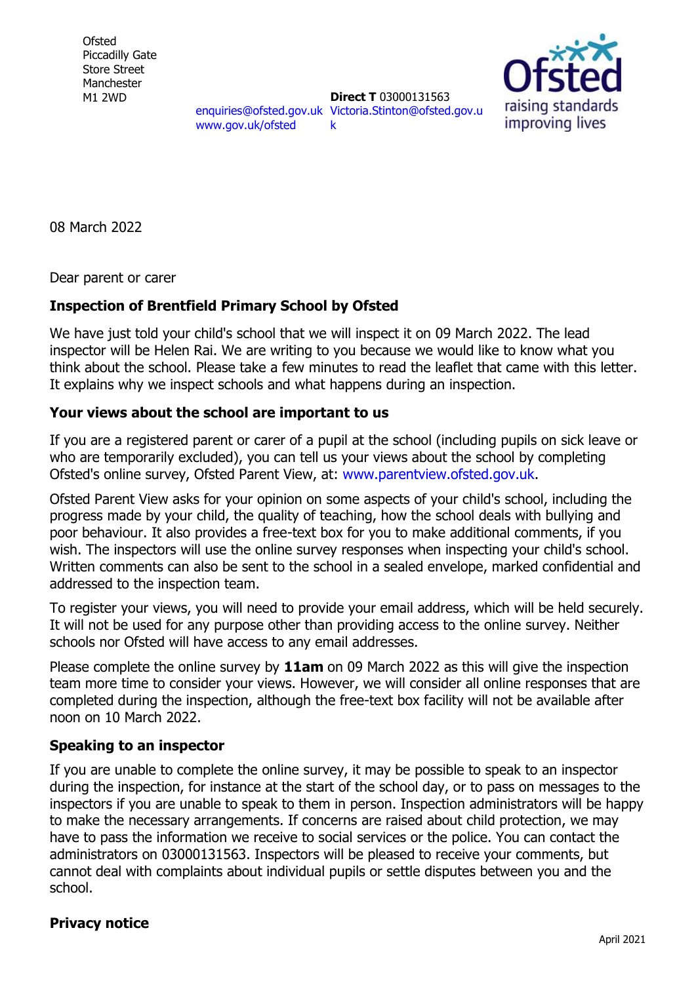**Ofsted** Piccadilly Gate Store Street Manchester M1 2WD

[enquiries@ofsted.gov.uk](mailto:enquiries@ofsted.gov.uk) [Victoria.Stinton@ofsted.gov.u](mailto:Victoria.Stinton@ofsted.gov.uk) [www.gov.uk/ofsted](http://www.gov.uk/ofsted) **Direct T** 03000131563 [k](mailto:Victoria.Stinton@ofsted.gov.uk)



08 March 2022

Dear parent or carer

## **Inspection of Brentfield Primary School by Ofsted**

We have just told your child's school that we will inspect it on 09 March 2022. The lead inspector will be Helen Rai. We are writing to you because we would like to know what you think about the school. Please take a few minutes to read the leaflet that came with this letter. It explains why we inspect schools and what happens during an inspection.

## **Your views about the school are important to us**

If you are a registered parent or carer of a pupil at the school (including pupils on sick leave or who are temporarily excluded), you can tell us your views about the school by completing Ofsted's online survey, Ofsted Parent View, at: [www.parentview.ofsted.gov.uk.](http://www.parentview.ofsted.gov.uk/)

Ofsted Parent View asks for your opinion on some aspects of your child's school, including the progress made by your child, the quality of teaching, how the school deals with bullying and poor behaviour. It also provides a free-text box for you to make additional comments, if you wish. The inspectors will use the online survey responses when inspecting your child's school. Written comments can also be sent to the school in a sealed envelope, marked confidential and addressed to the inspection team.

To register your views, you will need to provide your email address, which will be held securely. It will not be used for any purpose other than providing access to the online survey. Neither schools nor Ofsted will have access to any email addresses.

Please complete the online survey by **11am** on 09 March 2022 as this will give the inspection team more time to consider your views. However, we will consider all online responses that are completed during the inspection, although the free-text box facility will not be available after noon on 10 March 2022.

## **Speaking to an inspector**

If you are unable to complete the online survey, it may be possible to speak to an inspector during the inspection, for instance at the start of the school day, or to pass on messages to the inspectors if you are unable to speak to them in person. Inspection administrators will be happy to make the necessary arrangements. If concerns are raised about child protection, we may have to pass the information we receive to social services or the police. You can contact the administrators on 03000131563. Inspectors will be pleased to receive your comments, but cannot deal with complaints about individual pupils or settle disputes between you and the school.

## **Privacy notice**